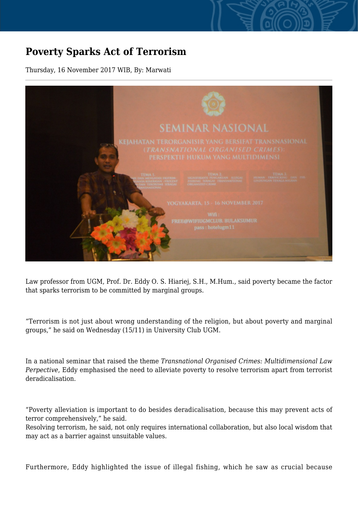## **Poverty Sparks Act of Terrorism**

Thursday, 16 November 2017 WIB, By: Marwati



Law professor from UGM, Prof. Dr. Eddy O. S. Hiariej, S.H., M.Hum., said poverty became the factor that sparks terrorism to be committed by marginal groups.

"Terrorism is not just about wrong understanding of the religion, but about poverty and marginal groups," he said on Wednesday (15/11) in University Club UGM.

In a national seminar that raised the theme *Transnational Organised Crimes: Multidimensional Law Perpective*, Eddy emphasised the need to alleviate poverty to resolve terrorism apart from terrorist deradicalisation.

"Poverty alleviation is important to do besides deradicalisation, because this may prevent acts of terror comprehensively," he said.

Resolving terrorism, he said, not only requires international collaboration, but also local wisdom that may act as a barrier against unsuitable values.

Furthermore, Eddy highlighted the issue of illegal fishing, which he saw as crucial because